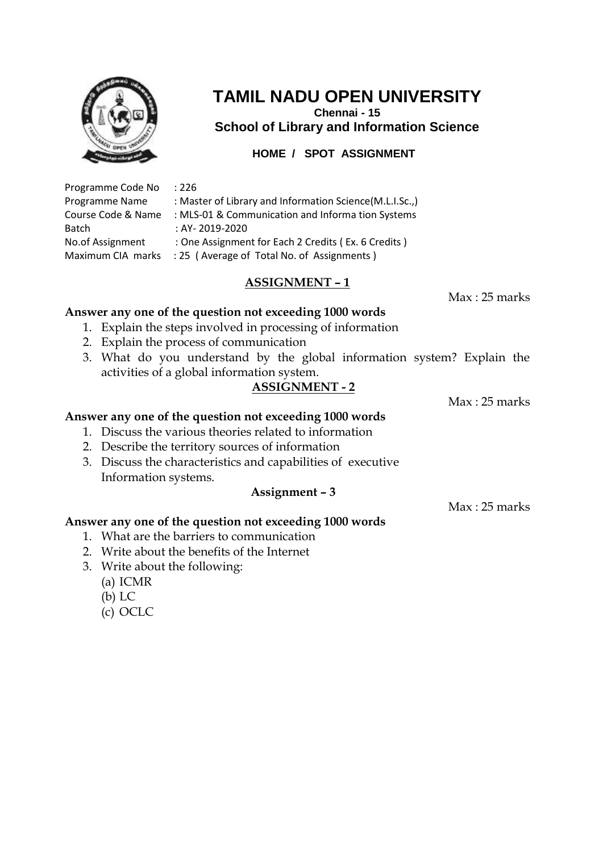

**Chennai - 15 School of Library and Information Science**

**HOME / SPOT ASSIGNMENT**

| Programme Code No  |
|--------------------|
| Programme Name     |
| Course Code & Name |
| <b>Batch</b>       |
| No.of Assignment   |
| Maximum CIA marks  |
|                    |

#### $: 226$

: Master of Library and Information Science(M.L.I.Sc.,)

: MLS-01 & Communication and Informa tion Systems

 $:BY- 2019-2020$ 

: One Assignment for Each 2 Credits ( Ex. 6 Credits )

: 25 ( Average of Total No. of Assignments )

# **ASSIGNMENT – 1**

Max : 25 marks

#### **Answer any one of the question not exceeding 1000 words**

- 1. Explain the steps involved in processing of information
- 2. Explain the process of communication
- 3. What do you understand by the global information system? Explain the activities of a global information system.

# **ASSIGNMENT - 2**

Max : 25 marks

#### **Answer any one of the question not exceeding 1000 words**

- 1. Discuss the various theories related to information
- 2. Describe the territory sources of information
- 3. Discuss the characteristics and capabilities of executive Information systems.

## **Assignment – 3**

 $Max \cdot 25$  marks

- 1. What are the barriers to communication
- 2. Write about the benefits of the Internet
- 3. Write about the following:
	- (a) ICMR
	- (b) LC
	- (c) OCLC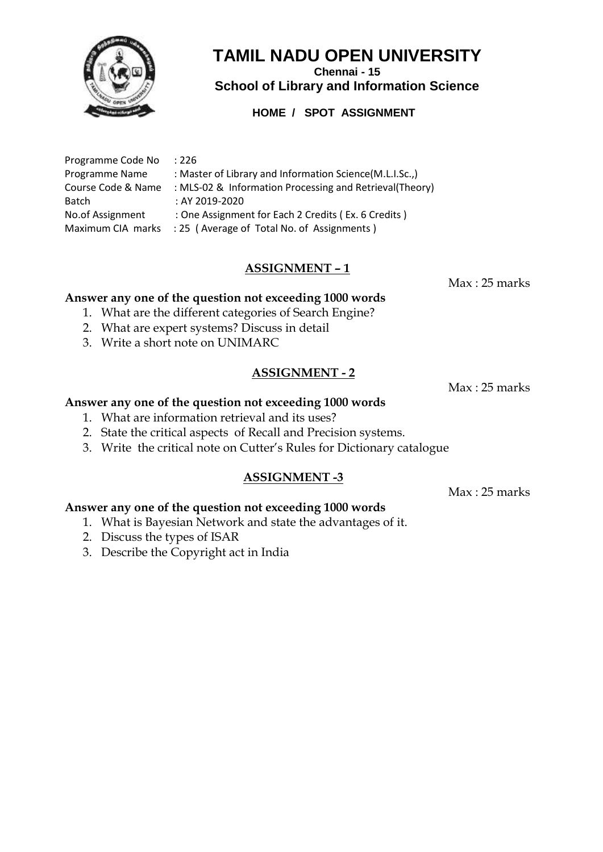

**Chennai - 15 School of Library and Information Science**

## **HOME / SPOT ASSIGNMENT**

| Programme Code No  | :226                                                     |
|--------------------|----------------------------------------------------------|
| Programme Name     | : Master of Library and Information Science(M.L.I.Sc.,)  |
| Course Code & Name | : MLS-02 & Information Processing and Retrieval (Theory) |
| <b>Batch</b>       | : AY 2019-2020                                           |
| No.of Assignment   | : One Assignment for Each 2 Credits (Ex. 6 Credits)      |
| Maximum CIA marks  | : 25 (Average of Total No. of Assignments)               |

# **ASSIGNMENT – 1**

Max : 25 marks

#### **Answer any one of the question not exceeding 1000 words**

- 1. What are the different categories of Search Engine?
- 2. What are expert systems? Discuss in detail
- 3. Write a short note on UNIMARC

#### **ASSIGNMENT - 2**

Max : 25 marks

#### **Answer any one of the question not exceeding 1000 words**

- 1. What are information retrieval and its uses?
- 2. State the critical aspects of Recall and Precision systems.
- 3. Write the critical note on Cutter's Rules for Dictionary catalogue

#### **ASSIGNMENT -3**

Max : 25 marks

- 1. What is Bayesian Network and state the advantages of it.
- 2. Discuss the types of ISAR
- 3. Describe the Copyright act in India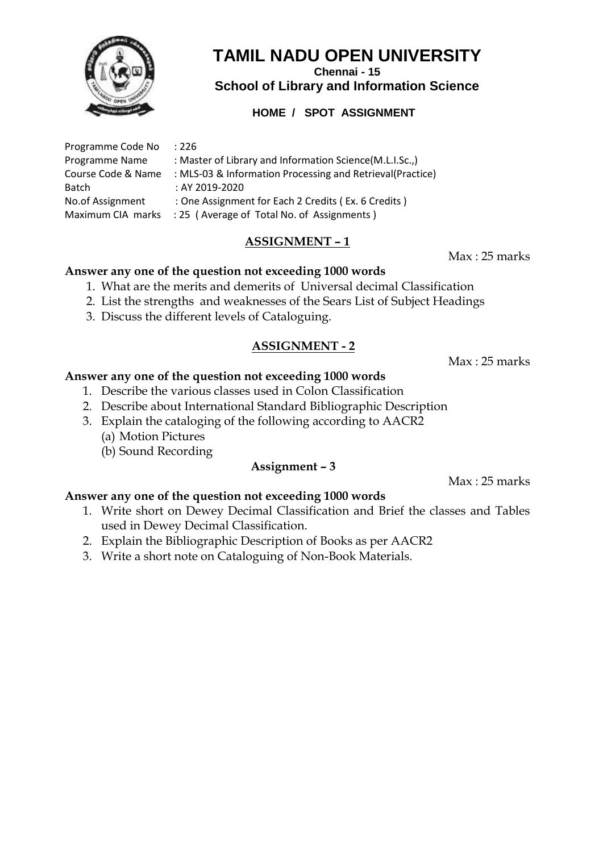

**Chennai - 15**

**School of Library and Information Science**

# **HOME / SPOT ASSIGNMENT**

| Programme Code No  | :226                                                      |
|--------------------|-----------------------------------------------------------|
| Programme Name     | : Master of Library and Information Science(M.L.I.Sc.,)   |
| Course Code & Name | : MLS-03 & Information Processing and Retrieval(Practice) |
| Batch              | : AY 2019-2020                                            |
| No.of Assignment   | : One Assignment for Each 2 Credits (Ex. 6 Credits)       |
|                    |                                                           |

Maximum CIA marks : 25 (Average of Total No. of Assignments)

# **ASSIGNMENT – 1**

Max : 25 marks

## **Answer any one of the question not exceeding 1000 words**

- 1. What are the merits and demerits of Universal decimal Classification
- 2. List the strengths and weaknesses of the Sears List of Subject Headings
- 3. Discuss the different levels of Cataloguing.

# **ASSIGNMENT - 2**

Max : 25 marks

# **Answer any one of the question not exceeding 1000 words**

- 1. Describe the various classes used in Colon Classification
- 2. Describe about International Standard Bibliographic Description
- 3. Explain the cataloging of the following according to AACR2 (a) Motion Pictures
	- (b) Sound Recording

# **Assignment – 3**

Max : 25 marks

- 1. Write short on Dewey Decimal Classification and Brief the classes and Tables used in Dewey Decimal Classification.
- 2. Explain the Bibliographic Description of Books as per AACR2
- 3. Write a short note on Cataloguing of Non-Book Materials.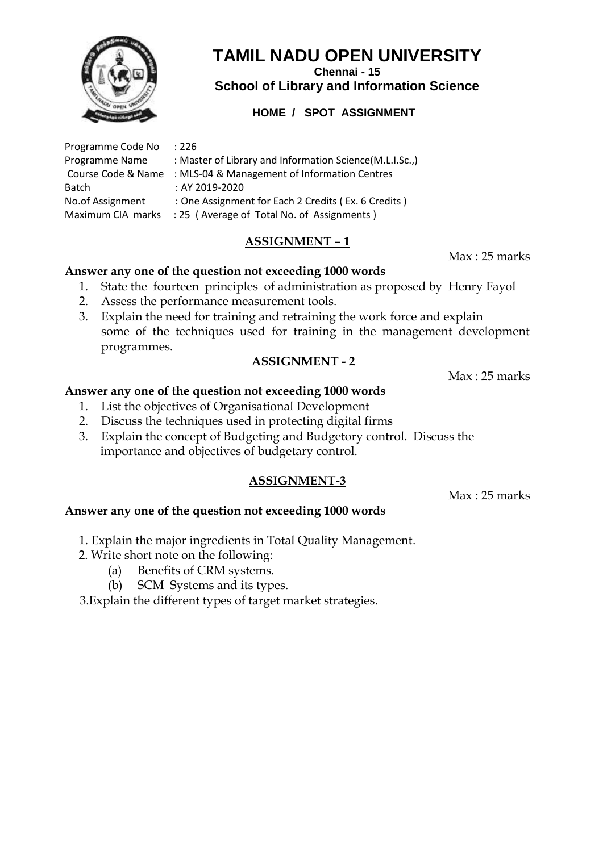

**Chennai - 15 School of Library and Information Science**

# **HOME / SPOT ASSIGNMENT**

| Programme Code No  | :226                                                    |
|--------------------|---------------------------------------------------------|
| Programme Name     | : Master of Library and Information Science(M.L.I.Sc.,) |
| Course Code & Name | : MLS-04 & Management of Information Centres            |
| <b>Batch</b>       | : AY 2019-2020                                          |
| No.of Assignment   | : One Assignment for Each 2 Credits (Ex. 6 Credits)     |
| Maximum CIA marks  | : 25 (Average of Total No. of Assignments)              |

# **ASSIGNMENT – 1**

Max : 25 marks

#### **Answer any one of the question not exceeding 1000 words**

- 1. State the fourteen principles of administration as proposed by Henry Fayol
- 2. Assess the performance measurement tools.
- 3. Explain the need for training and retraining the work force and explain some of the techniques used for training in the management development programmes.

## **ASSIGNMENT - 2**

Max : 25 marks

#### **Answer any one of the question not exceeding 1000 words**

- 1. List the objectives of Organisational Development
- 2. Discuss the techniques used in protecting digital firms
- 3. Explain the concept of Budgeting and Budgetory control. Discuss the importance and objectives of budgetary control.

## **ASSIGNMENT-3**

Max : 25 marks

## **Answer any one of the question not exceeding 1000 words**

- 1. Explain the major ingredients in Total Quality Management.
- 2. Write short note on the following:
	- (a) Benefits of CRM systems.
	- (b) SCM Systems and its types.

3.Explain the different types of target market strategies.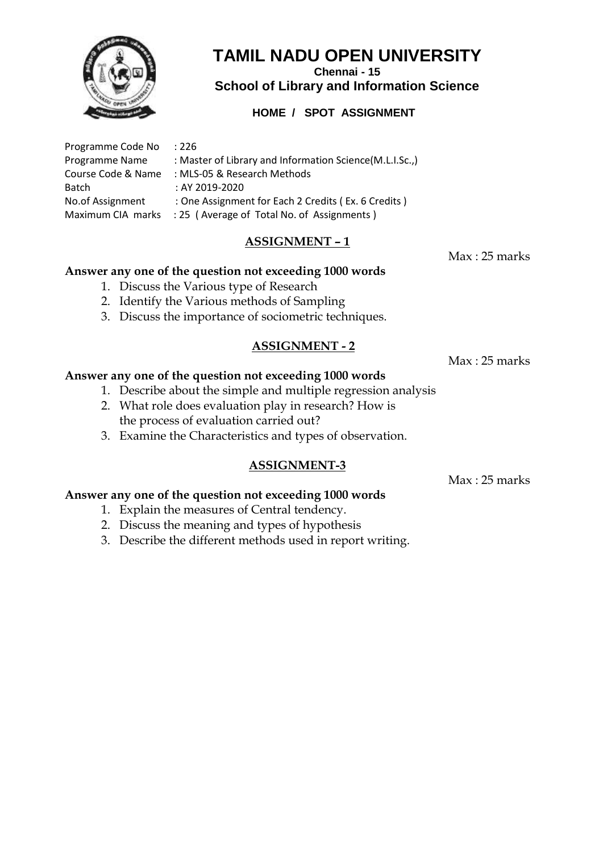

**Chennai - 15 School of Library and Information Science**

# **HOME / SPOT ASSIGNMENT**

| Programme Code No  | :226                                                    |
|--------------------|---------------------------------------------------------|
| Programme Name     | : Master of Library and Information Science(M.L.I.Sc.,) |
| Course Code & Name | : MLS-05 & Research Methods                             |
| Batch              | : AY 2019-2020                                          |
| No.of Assignment   | : One Assignment for Each 2 Credits (Ex. 6 Credits)     |
| Maximum CIA marks  | : 25 (Average of Total No. of Assignments)              |

# **ASSIGNMENT – 1**

#### **Answer any one of the question not exceeding 1000 words**

- 1. Discuss the Various type of Research
- 2. Identify the Various methods of Sampling
- 3. Discuss the importance of sociometric techniques.

#### **ASSIGNMENT - 2**

Max : 25 marks

#### **Answer any one of the question not exceeding 1000 words**

- 1. Describe about the simple and multiple regression analysis
- 2. What role does evaluation play in research? How is the process of evaluation carried out?
- 3. Examine the Characteristics and types of observation.

#### **ASSIGNMENT-3**

Max : 25 marks

## **Answer any one of the question not exceeding 1000 words**

- 1. Explain the measures of Central tendency.
- 2. Discuss the meaning and types of hypothesis
- 3. Describe the different methods used in report writing.

Max : 25 marks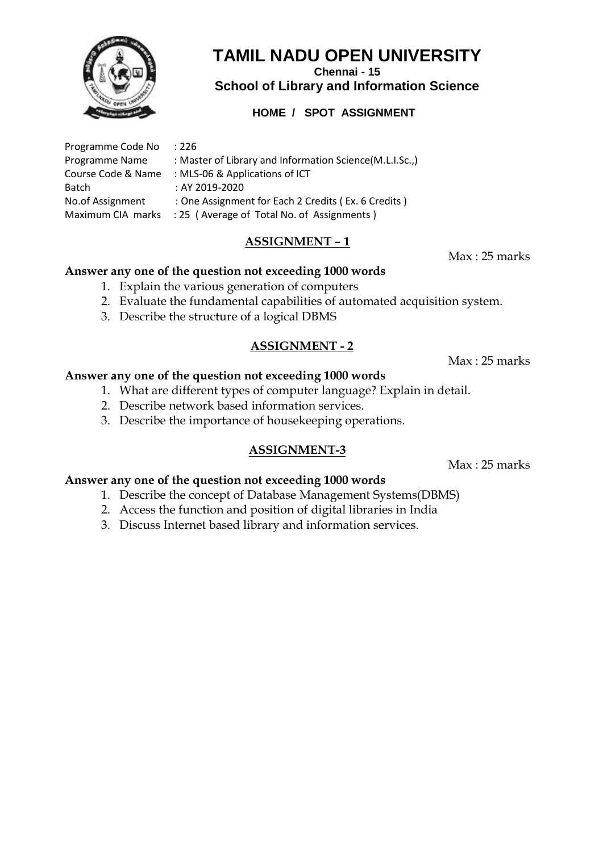

**Chennai - 15**

**School of Library and Information Science**

# **HOME / SPOT ASSIGNMENT**

| Programme Code No    | :226                                                                                                                                                                                                                                                                                                                                                                                 |
|----------------------|--------------------------------------------------------------------------------------------------------------------------------------------------------------------------------------------------------------------------------------------------------------------------------------------------------------------------------------------------------------------------------------|
| Programme Name       | : Master of Library and Information Science(M.L.I.Sc.,)                                                                                                                                                                                                                                                                                                                              |
| Course Code & Name   | : MLS-06 & Applications of ICT                                                                                                                                                                                                                                                                                                                                                       |
| <b>Batch</b>         | : AY 2019-2020                                                                                                                                                                                                                                                                                                                                                                       |
| No.of Assignment     | : One Assignment for Each 2 Credits (Ex. 6 Credits)                                                                                                                                                                                                                                                                                                                                  |
| Maximizing CIA month | $\overline{1}$ $\overline{1}$ $\overline{1}$ $\overline{1}$ $\overline{1}$ $\overline{1}$ $\overline{1}$ $\overline{1}$ $\overline{1}$ $\overline{1}$ $\overline{1}$ $\overline{1}$ $\overline{1}$ $\overline{1}$ $\overline{1}$ $\overline{1}$ $\overline{1}$ $\overline{1}$ $\overline{1}$ $\overline{1}$ $\overline{1}$ $\overline{1}$ $\overline{1}$ $\overline{1}$ $\overline{$ |

Maximum CIA marks : 25 (Average of Total No. of Assignments)

# **ASSIGNMENT – 1**

Max : 25 marks

## **Answer any one of the question not exceeding 1000 words**

- 1. Explain the various generation of computers
- 2. Evaluate the fundamental capabilities of automated acquisition system.
- 3. Describe the structure of a logical DBMS

## **ASSIGNMENT - 2**

Max : 25 marks

#### **Answer any one of the question not exceeding 1000 words**

- 1. What are different types of computer language? Explain in detail.
- 2. Describe network based information services.
- 3. Describe the importance of housekeeping operations.

# **ASSIGNMENT-3**

Max : 25 marks

- 1. Describe the concept of Database Management Systems(DBMS)
- 2. Access the function and position of digital libraries in India
- 3. Discuss Internet based library and information services.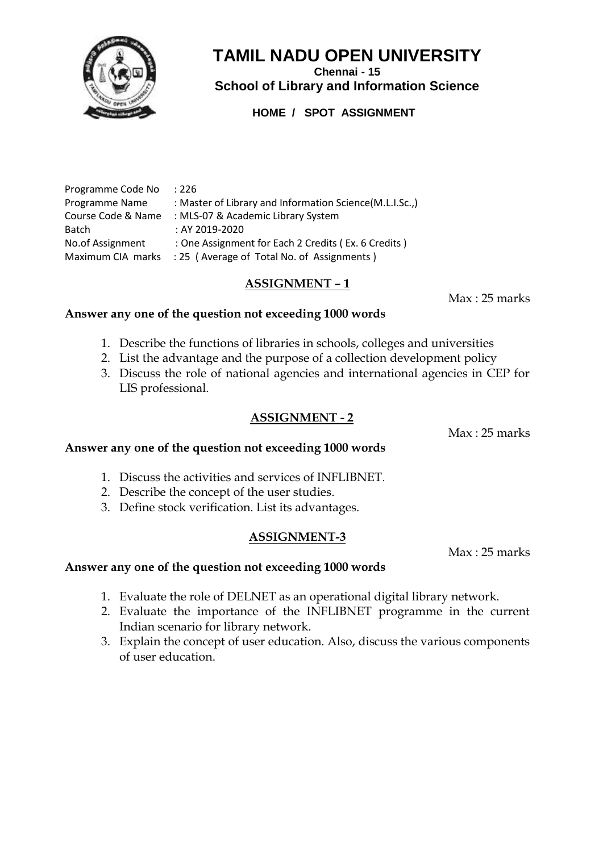

**Chennai - 15 School of Library and Information Science**

**HOME / SPOT ASSIGNMENT**

| Programme Code No  | :226                                                    |
|--------------------|---------------------------------------------------------|
| Programme Name     | : Master of Library and Information Science(M.L.I.Sc.,) |
| Course Code & Name | : MLS-07 & Academic Library System                      |
| <b>Batch</b>       | : AY 2019-2020                                          |
| No.of Assignment   | : One Assignment for Each 2 Credits (Ex. 6 Credits)     |
| Maximum CIA marks  | : 25 (Average of Total No. of Assignments)              |

## **ASSIGNMENT – 1**

Max : 25 marks

#### **Answer any one of the question not exceeding 1000 words**

- 1. Describe the functions of libraries in schools, colleges and universities
- 2. List the advantage and the purpose of a collection development policy
- 3. Discuss the role of national agencies and international agencies in CEP for LIS professional.

#### **ASSIGNMENT - 2**

Max : 25 marks

## **Answer any one of the question not exceeding 1000 words**

- 1. Discuss the activities and services of INFLIBNET.
- 2. Describe the concept of the user studies.
- 3. Define stock verification. List its advantages.

## **ASSIGNMENT-3**

Max : 25 marks

- 1. Evaluate the role of DELNET as an operational digital library network.
- 2. Evaluate the importance of the INFLIBNET programme in the current Indian scenario for library network.
- 3. Explain the concept of user education. Also, discuss the various components of user education.